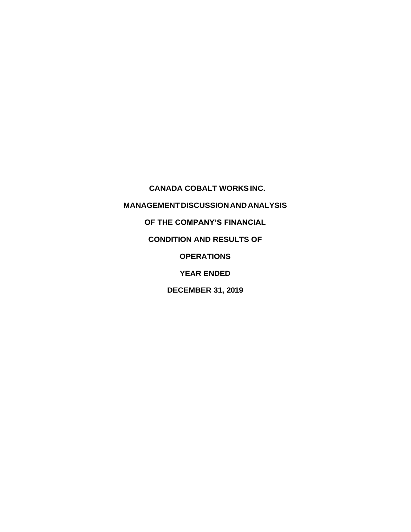**CANADA COBALT WORKS INC. MANAGEMENT DISCUSSION AND ANALYSIS OF THE COMPANY'S FINANCIAL CONDITION AND RESULTS OF OPERATIONS YEAR ENDED DECEMBER 31, 2019**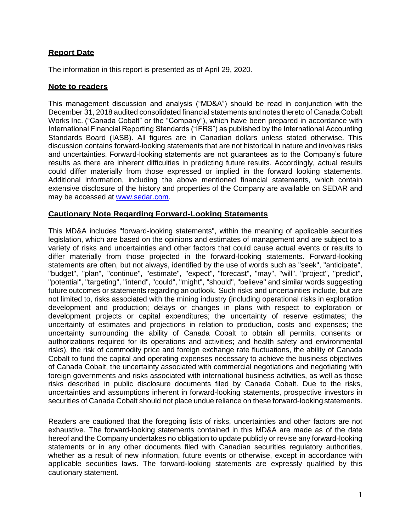# **Report Date**

The information in this report is presented as of April 29, 2020.

## **Note to readers**

This management discussion and analysis ("MD&A") should be read in conjunction with the December 31, 2018 audited consolidated financial statements and notes thereto of Canada Cobalt Works Inc. ("Canada Cobalt" or the "Company"), which have been prepared in accordance with International Financial Reporting Standards ("IFRS") as published by the International Accounting Standards Board (IASB). All figures are in Canadian dollars unless stated otherwise. This discussion contains forward-looking statements that are not historical in nature and involves risks and uncertainties. Forward-looking statements are not guarantees as to the Company's future results as there are inherent difficulties in predicting future results. Accordingly, actual results could differ materially from those expressed or implied in the forward looking statements. Additional information, including the above mentioned financial statements, which contain extensive disclosure of the history and properties of the Company are available on SEDAR and may be accessed at [www.sedar.com.](http://www.sedar.com/)

## **Cautionary Note Regarding Forward-Looking Statements**

This MD&A includes "forward-looking statements", within the meaning of applicable securities legislation, which are based on the opinions and estimates of management and are subject to a variety of risks and uncertainties and other factors that could cause actual events or results to differ materially from those projected in the forward-looking statements. Forward-looking statements are often, but not always, identified by the use of words such as "seek", "anticipate", "budget", "plan", "continue", "estimate", "expect", "forecast", "may", "will", "project", "predict", "potential", "targeting", "intend", "could", "might", "should", "believe" and similar words suggesting future outcomes or statements regarding an outlook. Such risks and uncertainties include, but are not limited to, risks associated with the mining industry (including operational risks in exploration development and production; delays or changes in plans with respect to exploration or development projects or capital expenditures; the uncertainty of reserve estimates; the uncertainty of estimates and projections in relation to production, costs and expenses; the uncertainty surrounding the ability of Canada Cobalt to obtain all permits, consents or authorizations required for its operations and activities; and health safety and environmental risks), the risk of commodity price and foreign exchange rate fluctuations, the ability of Canada Cobalt to fund the capital and operating expenses necessary to achieve the business objectives of Canada Cobalt, the uncertainty associated with commercial negotiations and negotiating with foreign governments and risks associated with international business activities, as well as those risks described in public disclosure documents filed by Canada Cobalt. Due to the risks, uncertainties and assumptions inherent in forward-looking statements, prospective investors in securities of Canada Cobalt should not place undue reliance on these forward-looking statements.

Readers are cautioned that the foregoing lists of risks, uncertainties and other factors are not exhaustive. The forward-looking statements contained in this MD&A are made as of the date hereof and the Company undertakes no obligation to update publicly or revise any forward-looking statements or in any other documents filed with Canadian securities regulatory authorities, whether as a result of new information, future events or otherwise, except in accordance with applicable securities laws. The forward-looking statements are expressly qualified by this cautionary statement.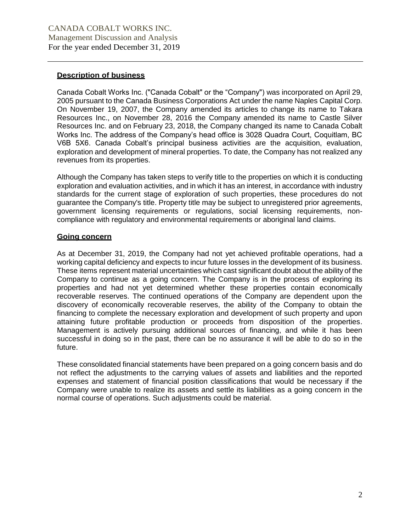# **Description of business**

Canada Cobalt Works Inc. ("Canada Cobalt" or the "Company") was incorporated on April 29, 2005 pursuant to the Canada Business Corporations Act under the name Naples Capital Corp. On November 19, 2007, the Company amended its articles to change its name to Takara Resources Inc., on November 28, 2016 the Company amended its name to Castle Silver Resources Inc. and on February 23, 2018, the Company changed its name to Canada Cobalt Works Inc. The address of the Company's head office is 3028 Quadra Court, Coquitlam, BC V6B 5X6. Canada Cobalt's principal business activities are the acquisition, evaluation, exploration and development of mineral properties. To date, the Company has not realized any revenues from its properties.

Although the Company has taken steps to verify title to the properties on which it is conducting exploration and evaluation activities, and in which it has an interest, in accordance with industry standards for the current stage of exploration of such properties, these procedures do not guarantee the Company's title. Property title may be subject to unregistered prior agreements, government licensing requirements or regulations, social licensing requirements, noncompliance with regulatory and environmental requirements or aboriginal land claims.

# **Going concern**

As at December 31, 2019, the Company had not yet achieved profitable operations, had a working capital deficiency and expects to incur future losses in the development of its business. These items represent material uncertainties which cast significant doubt about the ability of the Company to continue as a going concern. The Company is in the process of exploring its properties and had not yet determined whether these properties contain economically recoverable reserves. The continued operations of the Company are dependent upon the discovery of economically recoverable reserves, the ability of the Company to obtain the financing to complete the necessary exploration and development of such property and upon attaining future profitable production or proceeds from disposition of the properties. Management is actively pursuing additional sources of financing, and while it has been successful in doing so in the past, there can be no assurance it will be able to do so in the future.

These consolidated financial statements have been prepared on a going concern basis and do not reflect the adjustments to the carrying values of assets and liabilities and the reported expenses and statement of financial position classifications that would be necessary if the Company were unable to realize its assets and settle its liabilities as a going concern in the normal course of operations. Such adjustments could be material.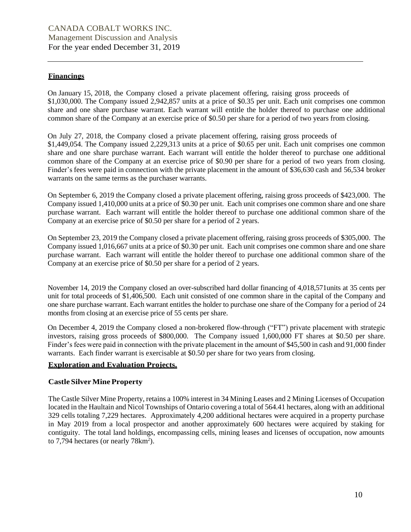## **Financings**

On January 15, 2018, the Company closed a private placement offering, raising gross proceeds of \$1,030,000. The Company issued 2,942,857 units at a price of \$0.35 per unit. Each unit comprises one common share and one share purchase warrant. Each warrant will entitle the holder thereof to purchase one additional common share of the Company at an exercise price of \$0.50 per share for a period of two years from closing.

On July 27, 2018, the Company closed a private placement offering, raising gross proceeds of \$1,449,054. The Company issued 2,229,313 units at a price of \$0.65 per unit. Each unit comprises one common share and one share purchase warrant. Each warrant will entitle the holder thereof to purchase one additional common share of the Company at an exercise price of \$0.90 per share for a period of two years from closing. Finder's fees were paid in connection with the private placement in the amount of \$36,630 cash and 56,534 broker warrants on the same terms as the purchaser warrants.

On September 6, 2019 the Company closed a private placement offering, raising gross proceeds of \$423,000. The Company issued 1,410,000 units at a price of \$0.30 per unit. Each unit comprises one common share and one share purchase warrant. Each warrant will entitle the holder thereof to purchase one additional common share of the Company at an exercise price of \$0.50 per share for a period of 2 years.

On September 23, 2019 the Company closed a private placement offering, raising gross proceeds of \$305,000. The Company issued 1,016,667 units at a price of \$0.30 per unit. Each unit comprises one common share and one share purchase warrant. Each warrant will entitle the holder thereof to purchase one additional common share of the Company at an exercise price of \$0.50 per share for a period of 2 years.

November 14, 2019 the Company closed an over-subscribed hard dollar financing of 4,018,571units at 35 cents per unit for total proceeds of \$1,406,500. Each unit consisted of one common share in the capital of the Company and one share purchase warrant. Each warrant entitles the holder to purchase one share of the Company for a period of 24 months from closing at an exercise price of 55 cents per share.

On December 4, 2019 the Company closed a non-brokered flow-through ("FT") private placement with strategic investors, raising gross proceeds of \$800,000. The Company issued 1,600,000 FT shares at \$0.50 per share. Finder's fees were paid in connection with the private placement in the amount of \$45,500 in cash and 91,000 finder warrants. Each finder warrant is exercisable at \$0.50 per share for two years from closing.

#### **Exploration and Evaluation Projects.**

#### **Castle SilverMine Property**

The Castle Silver Mine Property, retains a 100% interest in 34 Mining Leases and 2 Mining Licenses of Occupation located in the Haultain and Nicol Townships of Ontario covering a total of 564.41 hectares, along with an additional 329 cells totaling 7,229 hectares. Approximately 4,200 additional hectares were acquired in a property purchase in May 2019 from a local prospector and another approximately 600 hectares were acquired by staking for contiguity. The total land holdings, encompassing cells, mining leases and licenses of occupation, now amounts to  $7,794$  hectares (or nearly  $78 \text{km}^2$ ).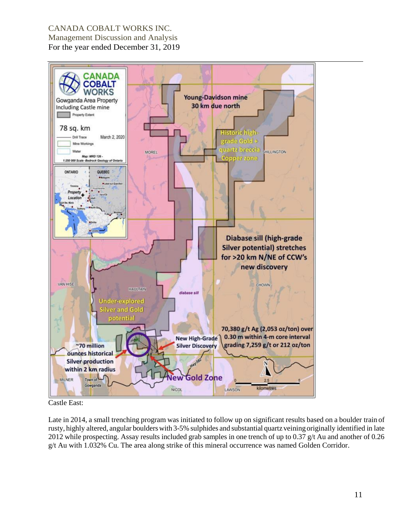

Castle East:

Late in 2014, a small trenching program was initiated to follow up on significant results based on a boulder train of rusty, highly altered, angular boulders with 3-5% sulphides and substantial quartz veining originally identified in late 2012 while prospecting. Assay results included grab samples in one trench of up to 0.37 g/t Au and another of 0.26 g/t Au with 1.032% Cu. The area along strike of this mineral occurrence was named Golden Corridor.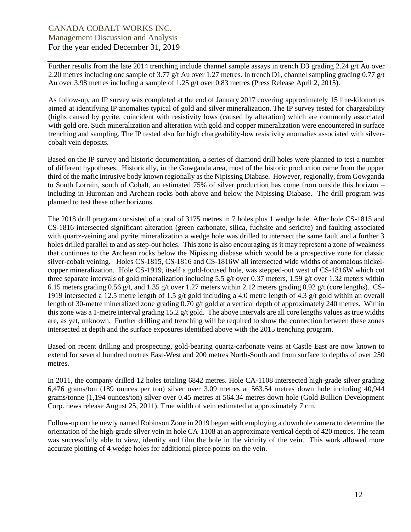Further results from the late 2014 trenching include channel sample assays in trench D3 grading 2.24 g/t Au over 2.20 metres including one sample of 3.77 g/t Au over 1.27 metres. In trench D1, channel sampling grading 0.77 g/t Au over 3.98 metres including a sample of 1.25 g/t over 0.83 metres (Press Release April 2, 2015).

As follow-up, an IP survey was completed at the end of January 2017 covering approximately 15 line-kilometres aimed at identifying IP anomalies typical of gold and silver mineralization. The IP survey tested for chargeability (highs caused by pyrite, coincident with resistivity lows (caused by alteration) which are commonly associated with gold ore. Such mineralization and alteration with gold and copper mineralization were encountered in surface trenching and sampling. The IP tested also for high chargeability-low resistivity anomalies associated with silvercobalt vein deposits.

Based on the IP survey and historic documentation, a series of diamond drill holes were planned to test a number of different hypotheses. Historically, in the Gowganda area, most of the historic production came from the upper third of the mafic intrusive body known regionally as the Nipissing Diabase. However, regionally, from Gowganda to South Lorrain, south of Cobalt, an estimated 75% of silver production has come from outside this horizon – including in Huronian and Archean rocks both above and below the Nipissing Diabase. The drill program was planned to test these other horizons.

The 2018 drill program consisted of a total of 3175 metres in 7 holes plus 1 wedge hole. After hole CS-1815 and CS-1816 intersected significant alteration (green carbonate, silica, fuchsite and sericite) and faulting associated with quartz-veining and pyrite mineralization a wedge hole was drilled to intersect the same fault and a further 3 holes drilled parallel to and as step-out holes. This zone is also encouraging as it may represent a zone of weakness that continues to the Archean rocks below the Nipissing diabase which would be a prospective zone for classic silver-cobalt veining. Holes CS-1815, CS-1816 and CS-1816W all intersected wide widths of anomalous nickelcopper mineralization. Hole CS-1919, itself a gold-focused hole, was stepped-out west of CS-1816W which cut three separate intervals of gold mineralization including 5.5 g/t over 0.37 meters, 1.59 g/t over 1.32 meters within 6.15 meters grading 0.56 g/t, and 1.35 g/t over 1.27 meters within 2.12 meters grading 0.92 g/t (core lengths). CS-1919 intersected a 12.5 metre length of 1.5 g/t gold including a 4.0 metre length of 4.3 g/t gold within an overall length of 30-metre mineralized zone grading 0.70 g/t gold at a vertical depth of approximately 240 metres. Within this zone was a 1-metre interval grading  $15.2$  g/t gold. The above intervals are all core lengths values as true widths are, as yet, unknown. Further drilling and trenching will be required to show the connection between these zones intersected at depth and the surface exposures identified above with the 2015 trenching program.

Based on recent drilling and prospecting, gold-bearing quartz-carbonate veins at Castle East are now known to extend for several hundred metres East-West and 200 metres North-South and from surface to depths of over 250 metres.

In 2011, the company drilled 12 holes totaling 6842 metres. Hole CA-1108 intersected high-grade silver grading 6,476 grams/ton (189 ounces per ton) silver over 3.09 metres at 563.54 metres down hole including 40,944 grams/tonne (1,194 ounces/ton) silver over 0.45 metres at 564.34 metres down hole (Gold Bullion Development Corp. news release August 25, 2011). True width of vein estimated at approximately 7 cm.

Follow-up on the newly named Robinson Zone in 2019 began with employing a downhole camera to determine the orientation of the high-grade silver vein in hole CA-1108 at an approximate vertical depth of 420 metres. The team was successfully able to view, identify and film the hole in the vicinity of the vein. This work allowed more accurate plotting of 4 wedge holes for additional pierce points on the vein.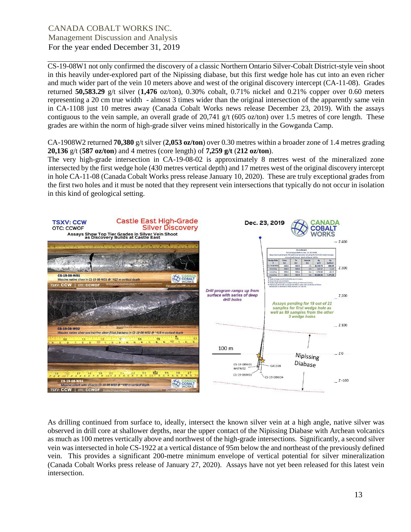CS-19-08W1 not only confirmed the discovery of a classic Northern Ontario Silver-Cobalt District-style vein shoot in this heavily under-explored part of the Nipissing diabase, but this first wedge hole has cut into an even richer and much wider part of the vein 10 meters above and west of the original discovery intercept (CA-11-08). Grades returned **50,583.29** g/t silver (**1,476** oz/ton), 0.30% cobalt, 0.71% nickel and 0.21% copper over 0.60 meters representing a 20 cm true width - almost 3 times wider than the original intersection of the apparently same vein in CA-1108 just 10 metres away (Canada Cobalt Works news release December 23, 2019). With the assays contiguous to the vein sample, an overall grade of 20,741 g/t (605 oz/ton) over 1.5 metres of core length. These grades are within the norm of high-grade silver veins mined historically in the Gowganda Camp.

CA-1908W2 returned **70,380** g/t silver (**2,053 oz/ton**) over 0.30 metres within a broader zone of 1.4 metres grading **20,136** g/t (**587 oz/ton**) and 4 metres (core length) of **7,259 g/t** (**212 oz/ton**).

The very high-grade intersection in CA-19-08-02 is approximately 8 metres west of the mineralized zone intersected by the first wedge hole (430 metres vertical depth) and 17 metres west of the original discovery intercept in hole CA-11-08 (Canada Cobalt Works press release January 10, 2020). These are truly exceptional grades from the first two holes and it must be noted that they represent vein intersections that typically do not occur in isolation in this kind of geological setting.



As drilling continued from surface to, ideally, intersect the known silver vein at a high angle, native silver was observed in drill core at shallower depths, near the upper contact of the Nipissing Diabase with Archean volcanics as much as 100 metres vertically above and northwest of the high-grade intersections. Significantly, a second silver vein was intersected in hole CS-1922 at a vertical distance of 95m below the and northeast of the previously defined vein. This provides a significant 200-metre minimum envelope of vertical potential for silver mineralization (Canada Cobalt Works press release of January 27, 2020). Assays have not yet been released for this latest vein intersection.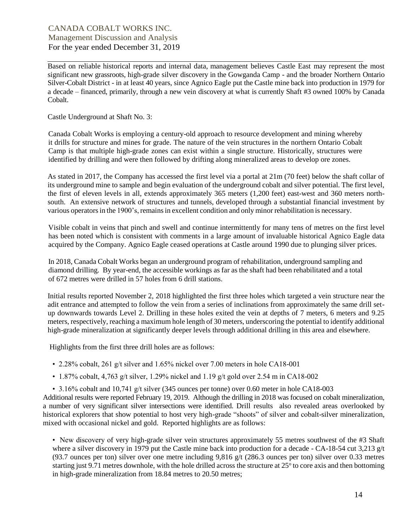Based on reliable historical reports and internal data, management believes Castle East may represent the most significant new grassroots, high-grade silver discovery in the Gowganda Camp - and the broader Northern Ontario Silver-Cobalt District - in at least 40 years, since Agnico Eagle put the Castle mine back into production in 1979 for a decade – financed, primarily, through a new vein discovery at what is currently Shaft #3 owned 100% by Canada Cobalt.

Castle Underground at Shaft No. 3:

Canada Cobalt Works is employing a century-old approach to resource development and mining whereby it drills for structure and mines for grade. The nature of the vein structures in the northern Ontario Cobalt Camp is that multiple high-grade zones can exist within a single structure. Historically, structures were identified by drilling and were then followed by drifting along mineralized areas to develop ore zones.

As stated in 2017, the Company has accessed the first level via a portal at 21m (70 feet) below the shaft collar of its underground mine to sample and begin evaluation of the underground cobalt and silver potential. The first level, the first of eleven levels in all, extends approximately 365 meters (1,200 feet) east-west and 360 meters northsouth. An extensive network of structures and tunnels, developed through a substantial financial investment by various operatorsin the 1900's, remainsin excellent condition and only minor rehabilitation is necessary.

Visible cobalt in veins that pinch and swell and continue intermittently for many tens of metres on the first level has been noted which is consistent with comments in a large amount of invaluable historical Agnico Eagle data acquired by the Company. Agnico Eagle ceased operations at Castle around 1990 due to plunging silver prices.

In 2018, Canada Cobalt Works began an underground program of rehabilitation, underground sampling and diamond drilling. By year-end, the accessible workings as far as the shaft had been rehabilitated and a total of 672 metres were drilled in 57 holes from 6 drill stations.

Initial results reported November 2, 2018 highlighted the first three holes which targeted a vein structure near the adit entrance and attempted to follow the vein from a series of inclinations from approximately the same drill setup downwards towards Level 2. Drilling in these holes exited the vein at depths of 7 meters, 6 meters and 9.25 meters, respectively, reaching a maximum hole length of 30 meters, underscoring the potential to identify additional high-grade mineralization at significantly deeper levels through additional drilling in this area and elsewhere.

Highlights from the first three drill holes are as follows:

- 2.28% cobalt, 261 g/t silver and 1.65% nickel over 7.00 meters in hole CA18-001
- 1.87% cobalt, 4,763 g/t silver, 1.29% nickel and 1.19 g/t gold over 2.54 m in CA18-002
- 3.16% cobalt and 10,741 g/t silver (345 ounces per tonne) over 0.60 meter in hole CA18-003

Additional results were reported February 19, 2019. Although the drilling in 2018 was focused on cobalt mineralization, a number of very significant silver intersections were identified. Drill results also revealed areas overlooked by historical explorers that show potential to host very high-grade "shoots" of silver and cobalt-silver mineralization, mixed with occasional nickel and gold. Reported highlights are as follows:

• New discovery of very high-grade silver vein structures approximately 55 metres southwest of the #3 Shaft where a silver discovery in 1979 put the Castle mine back into production for a decade - CA-18-54 cut 3,213 g/t (93.7 ounces per ton) silver over one metre including 9,816 g/t (286.3 ounces per ton) silver over 0.33 metres starting just 9.71 metres downhole, with the hole drilled across the structure at 25<sup>°</sup> to core axis and then bottoming in high-grade mineralization from 18.84 metres to 20.50 metres;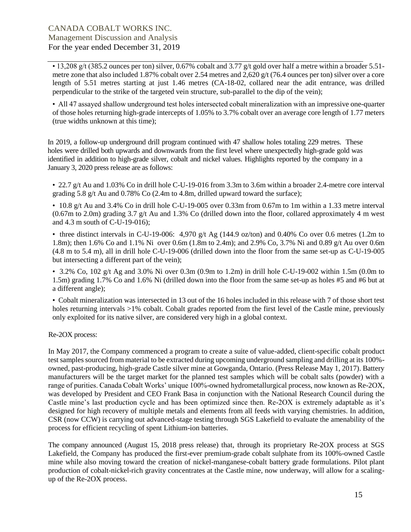• 13,208 g/t (385.2 ounces per ton) silver, 0.67% cobalt and 3.77 g/t gold over half a metre within a broader 5.51 metre zone that also included 1.87% cobalt over 2.54 metres and 2,620 g/t (76.4 ounces per ton) silver over a core length of 5.51 metres starting at just 1.46 metres (CA-18-02, collared near the adit entrance, was drilled perpendicular to the strike of the targeted vein structure, sub-parallel to the dip of the vein);

• All 47 assayed shallow underground test holes intersected cobalt mineralization with an impressive one-quarter of those holes returning high-grade intercepts of 1.05% to 3.7% cobalt over an average core length of 1.77 meters (true widths unknown at this time);

In 2019, a follow-up underground drill program continued with 47 shallow holes totaling 229 metres. These holes were drilled both upwards and downwards from the first level where unexpectedly high-grade gold was identified in addition to high-grade silver, cobalt and nickel values. Highlights reported by the company in a January 3, 2020 press release are as follows:

• 22.7 g/t Au and 1.03% Co in drill hole C-U-19-016 from 3.3m to 3.6m within a broader 2.4-metre core interval grading 5.8 g/t Au and  $0.78\%$  Co (2.4m to 4.8m, drilled upward toward the surface);

• 10.8 g/t Au and 3.4% Co in drill hole C-U-19-005 over 0.33m from 0.67m to 1m within a 1.33 metre interval  $(0.67 \text{m}$  to 2.0m) grading 3.7 g/t Au and 1.3% Co (drilled down into the floor, collared approximately 4 m west and 4.3 m south of C-U-19-016);

• three distinct intervals in C-U-19-006: 4,970 g/t Ag (144.9 oz/ton) and 0.40% Co over 0.6 metres (1.2m to 1.8m); then 1.6% Co and 1.1% Ni over 0.6m (1.8m to 2.4m); and 2.9% Co, 3.7% Ni and 0.89 g/t Au over 0.6m (4.8 m to 5.4 m), all in drill hole C-U-19-006 (drilled down into the floor from the same set-up as C-U-19-005 but intersecting a different part of the vein);

• 3.2% Co, 102 g/t Ag and 3.0% Ni over 0.3m (0.9m to 1.2m) in drill hole C-U-19-002 within 1.5m (0.0m to 1.5m) grading 1.7% Co and 1.6% Ni (drilled down into the floor from the same set-up as holes #5 and #6 but at a different angle);

• Cobalt mineralization was intersected in 13 out of the 16 holes included in this release with 7 of those short test holes returning intervals >1% cobalt. Cobalt grades reported from the first level of the Castle mine, previously only exploited for its native silver, are considered very high in a global context.

Re-2OX process:

In May 2017, the Company commenced a program to create a suite of value-added, client-specific cobalt product test samples sourced from material to be extracted during upcoming underground sampling and drilling at its 100% owned, past-producing, high-grade Castle silver mine at Gowganda, Ontario. (Press Release May 1, 2017). Battery manufacturers will be the target market for the planned test samples which will be cobalt salts (powder) with a range of purities. Canada Cobalt Works' unique 100%-owned hydrometallurgical process, now known as Re-2OX, was developed by President and CEO Frank Basa in conjunction with the National Research Council during the Castle mine's last production cycle and has been optimized since then. Re-2OX is extremely adaptable as it's designed for high recovery of multiple metals and elements from all feeds with varying chemistries. In addition, CSR (now CCW) is carrying out advanced-stage testing through SGS Lakefield to evaluate the amenability of the process for efficient recycling of spent Lithium-ion batteries.

The company announced (August 15, 2018 press release) that, through its proprietary Re-2OX process at SGS Lakefield, the Company has produced the first-ever premium-grade cobalt sulphate from its 100%-owned Castle mine while also moving toward the creation of nickel-manganese-cobalt battery grade formulations. Pilot plant production of cobalt-nickel-rich gravity concentrates at the Castle mine, now underway, will allow for a scalingup of the Re-2OX process.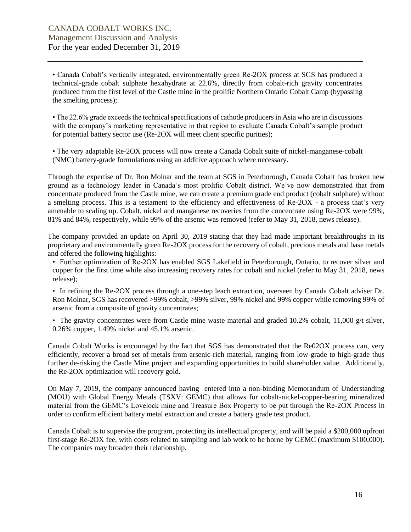• Canada Cobalt's vertically integrated, environmentally green Re-2OX process at SGS has produced a technical-grade cobalt sulphate hexahydrate at 22.6%, directly from cobalt-rich gravity concentrates produced from the first level of the Castle mine in the prolific Northern Ontario Cobalt Camp (bypassing the smelting process);

• The 22.6% grade exceeds the technical specifications of cathode producers in Asia who are in discussions with the company's marketing representative in that region to evaluate Canada Cobalt's sample product for potential battery sector use (Re-2OX will meet client specific purities);

• The very adaptable Re-2OX process will now create a Canada Cobalt suite of nickel-manganese-cobalt (NMC) battery-grade formulations using an additive approach where necessary.

Through the expertise of Dr. Ron Molnar and the team at SGS in Peterborough, Canada Cobalt has broken new ground as a technology leader in Canada's most prolific Cobalt district. We've now demonstrated that from concentrate produced from the Castle mine, we can create a premium grade end product (cobalt sulphate) without a smelting process. This is a testament to the efficiency and effectiveness of Re-2OX - a process that's very amenable to scaling up. Cobalt, nickel and manganese recoveries from the concentrate using Re-2OX were 99%, 81% and 84%, respectively, while 99% of the arsenic was removed (refer to May 31, 2018, news release).

The company provided an update on April 30, 2019 stating that they had made important breakthroughs in its proprietary and environmentally green Re-2OX process for the recovery of cobalt, precious metals and base metals and offered the following highlights:

• Further optimization of Re-2OX has enabled SGS Lakefield in Peterborough, Ontario, to recover silver and copper for the first time while also increasing recovery rates for cobalt and nickel (refer to May 31, 2018, news release);

• In refining the Re-2OX process through a one-step leach extraction, overseen by Canada Cobalt adviser Dr. Ron Molnar, SGS has recovered >99% cobalt, >99% silver, 99% nickel and 99% copper while removing 99% of arsenic from a composite of gravity concentrates;

• The gravity concentrates were from Castle mine waste material and graded 10.2% cobalt, 11,000  $g/t$  silver, 0.26% copper, 1.49% nickel and 45.1% arsenic.

Canada Cobalt Works is encouraged by the fact that SGS has demonstrated that the Re02OX process can, very efficiently, recover a broad set of metals from arsenic-rich material, ranging from low-grade to high-grade thus further de-risking the Castle Mine project and expanding opportunities to build shareholder value. Additionally, the Re-2OX optimization will recovery gold.

On May 7, 2019, the company announced having entered into a non-binding Memorandum of Understanding (MOU) with Global Energy Metals (TSXV: GEMC) that allows for cobalt-nickel-copper-bearing mineralized material from the GEMC's Lovelock mine and Treasure Box Property to be put through the Re-2OX Process in order to confirm efficient battery metal extraction and create a battery grade test product.

Canada Cobalt is to supervise the program, protecting its intellectual property, and will be paid a \$200,000 upfront first-stage Re-2OX fee, with costs related to sampling and lab work to be borne by GEMC (maximum \$100,000). The companies may broaden their relationship.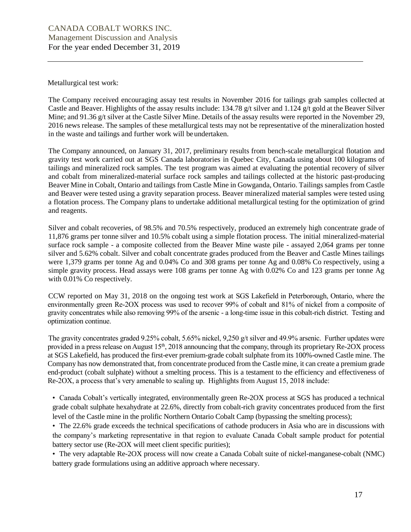Metallurgical test work:

The Company received encouraging assay test results in November 2016 for tailings grab samples collected at Castle and Beaver. Highlights of the assay results include: 134.78 g/t silver and 1.124 g/t gold at the Beaver Silver Mine; and 91.36 g/t silver at the Castle Silver Mine. Details of the assay results were reported in the November 29, 2016 news release. The samples of these metallurgical tests may not be representative of the mineralization hosted in the waste and tailings and further work will be undertaken.

The Company announced, on January 31, 2017, preliminary results from bench-scale metallurgical flotation and gravity test work carried out at SGS Canada laboratories in Quebec City, Canada using about 100 kilograms of tailings and mineralized rock samples. The test program was aimed at evaluating the potential recovery of silver and cobalt from mineralized-material surface rock samples and tailings collected at the historic past-producing Beaver Mine in Cobalt, Ontario and tailings from Castle Mine in Gowganda, Ontario. Tailings samples from Castle and Beaver were tested using a gravity separation process. Beaver mineralized material samples were tested using a flotation process. The Company plans to undertake additional metallurgical testing for the optimization of grind and reagents.

Silver and cobalt recoveries, of 98.5% and 70.5% respectively, produced an extremely high concentrate grade of 11,876 grams per tonne silver and 10.5% cobalt using a simple flotation process. The initial mineralized-material surface rock sample - a composite collected from the Beaver Mine waste pile - assayed 2,064 grams per tonne silver and 5.62% cobalt. Silver and cobalt concentrate grades produced from the Beaver and Castle Mines tailings were 1,379 grams per tonne Ag and 0.04% Co and 308 grams per tonne Ag and 0.08% Co respectively, using a simple gravity process. Head assays were 108 grams per tonne Ag with 0.02% Co and 123 grams per tonne Ag with 0.01% Co respectively.

CCW reported on May 31, 2018 on the ongoing test work at SGS Lakefield in Peterborough, Ontario, where the environmentally green Re-2OX process was used to recover 99% of cobalt and 81% of nickel from a composite of gravity concentrates while also removing 99% of the arsenic - a long-time issue in this cobalt-rich district. Testing and optimization continue.

The gravity concentrates graded 9.25% cobalt, 5.65% nickel, 9,250 g/t silver and 49.9% arsenic. Further updates were provided in a press release on August 15<sup>th</sup>, 2018 announcing that the company, through its proprietary Re-2OX process at SGS Lakefield, has produced the first-ever premium-grade cobalt sulphate from its 100%-owned Castle mine. The Company has now demonstrated that, from concentrate produced from the Castle mine, it can create a premium grade end-product (cobalt sulphate) without a smelting process. This is a testament to the efficiency and effectiveness of Re-2OX, a process that's very amenable to scaling up. Highlights from August 15, 2018 include:

• Canada Cobalt's vertically integrated, environmentally green Re-2OX process at SGS has produced a technical grade cobalt sulphate hexahydrate at 22.6%, directly from cobalt-rich gravity concentrates produced from the first level of the Castle mine in the prolific Northern Ontario Cobalt Camp (bypassing the smelting process);

• The 22.6% grade exceeds the technical specifications of cathode producers in Asia who are in discussions with the company's marketing representative in that region to evaluate Canada Cobalt sample product for potential battery sector use (Re-2OX will meet client specific purities);

• The very adaptable Re-2OX process will now create a Canada Cobalt suite of nickel-manganese-cobalt (NMC) battery grade formulations using an additive approach where necessary.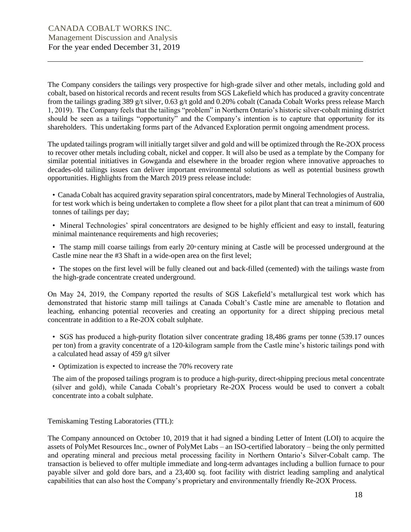The Company considers the tailings very prospective for high-grade silver and other metals, including gold and cobalt, based on historical records and recent results from SGS Lakefield which has produced a gravity concentrate from the tailings grading 389 g/t silver, 0.63 g/t gold and 0.20% cobalt (Canada Cobalt Works press release March 1, 2019). The Company feels that the tailings "problem" in Northern Ontario's historic silver-cobalt mining district should be seen as a tailings "opportunity" and the Company's intention is to capture that opportunity for its shareholders. This undertaking forms part of the Advanced Exploration permit ongoing amendment process.

The updated tailings program will initially target silver and gold and will be optimized through the Re-2OX process to recover other metals including cobalt, nickel and copper. It will also be used as a template by the Company for similar potential initiatives in Gowganda and elsewhere in the broader region where innovative approaches to decades-old tailings issues can deliver important environmental solutions as well as potential business growth opportunities. Highlights from the March 2019 press release include:

• Canada Cobalt has acquired gravity separation spiral concentrators, made by Mineral Technologies of Australia, for test work which is being undertaken to complete a flow sheet for a pilot plant that can treat a minimum of 600 tonnes of tailings per day;

• Mineral Technologies' spiral concentrators are designed to be highly efficient and easy to install, featuring minimal maintenance requirements and high recoveries;

• The stamp mill coarse tailings from early  $20<sup>th</sup>$  century mining at Castle will be processed underground at the Castle mine near the #3 Shaft in a wide-open area on the first level;

• The stopes on the first level will be fully cleaned out and back-filled (cemented) with the tailings waste from the high-grade concentrate created underground.

On May 24, 2019, the Company reported the results of SGS Lakefield's metallurgical test work which has demonstrated that historic stamp mill tailings at Canada Cobalt's Castle mine are amenable to flotation and leaching, enhancing potential recoveries and creating an opportunity for a direct shipping precious metal concentrate in addition to a Re-2OX cobalt sulphate.

• SGS has produced a high-purity flotation silver concentrate grading 18,486 grams per tonne (539.17 ounces per ton) from a gravity concentrate of a 120-kilogram sample from the Castle mine's historic tailings pond with a calculated head assay of 459 g/t silver

• Optimization is expected to increase the 70% recovery rate

The aim of the proposed tailings program is to produce a high-purity, direct-shipping precious metal concentrate (silver and gold), while Canada Cobalt's proprietary Re-2OX Process would be used to convert a cobalt concentrate into a cobalt sulphate.

Temiskaming Testing Laboratories (TTL):

The Company announced on October 10, 2019 that it had signed a binding Letter of Intent (LOI) to acquire the assets of PolyMet Resources Inc., owner of PolyMet Labs – an ISO-certified laboratory – being the only permitted and operating mineral and precious metal processing facility in Northern Ontario's Silver-Cobalt camp. The transaction is believed to offer multiple immediate and long-term advantages including a bullion furnace to pour payable silver and gold dore bars, and a 23,400 sq. foot facility with district leading sampling and analytical capabilities that can also host the Company's proprietary and environmentally friendly Re-2OX Process.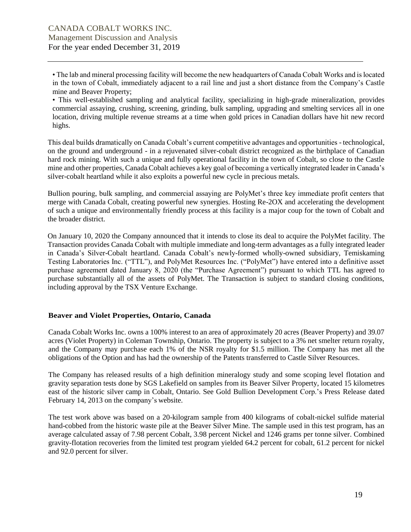• The lab and mineral processing facility will become the new headquarters of Canada Cobalt Works and is located in the town of Cobalt, immediately adjacent to a rail line and just a short distance from the Company's Castle mine and Beaver Property;

• This well-established sampling and analytical facility, specializing in high-grade mineralization, provides commercial assaying, crushing, screening, grinding, bulk sampling, upgrading and smelting services all in one location, driving multiple revenue streams at a time when gold prices in Canadian dollars have hit new record highs.

This deal builds dramatically on Canada Cobalt's current competitive advantages and opportunities - technological, on the ground and underground - in a rejuvenated silver-cobalt district recognized as the birthplace of Canadian hard rock mining. With such a unique and fully operational facility in the town of Cobalt, so close to the Castle mine and other properties, Canada Cobalt achieves a key goal of becoming a vertically integrated leader in Canada's silver-cobalt heartland while it also exploits a powerful new cycle in precious metals.

Bullion pouring, bulk sampling, and commercial assaying are PolyMet's three key immediate profit centers that merge with Canada Cobalt, creating powerful new synergies. Hosting Re-2OX and accelerating the development of such a unique and environmentally friendly process at this facility is a major coup for the town of Cobalt and the broader district.

On January 10, 2020 the Company announced that it intends to close its deal to acquire the PolyMet facility. The Transaction provides Canada Cobalt with multiple immediate and long-term advantages as a fully integrated leader in Canada's Silver-Cobalt heartland. Canada Cobalt's newly-formed wholly-owned subsidiary, Temiskaming Testing Laboratories Inc. ("TTL"), and PolyMet Resources Inc. ("PolyMet") have entered into a definitive asset purchase agreement dated January 8, 2020 (the "Purchase Agreement") pursuant to which TTL has agreed to purchase substantially all of the assets of PolyMet. The Transaction is subject to standard closing conditions, including approval by the TSX Venture Exchange.

#### **Beaver and Violet Properties, Ontario, Canada**

Canada Cobalt Works Inc. owns a 100% interest to an area of approximately 20 acres (Beaver Property) and 39.07 acres (Violet Property) in Coleman Township, Ontario. The property is subject to a 3% net smelter return royalty, and the Company may purchase each 1% of the NSR royalty for \$1.5 million. The Company has met all the obligations of the Option and has had the ownership of the Patents transferred to Castle Silver Resources.

The Company has released results of a high definition mineralogy study and some scoping level flotation and gravity separation tests done by SGS Lakefield on samples from its Beaver Silver Property, located 15 kilometres east of the historic silver camp in Cobalt, Ontario. See Gold Bullion Development Corp.'s Press Release dated February 14, 2013 on the company's website.

The test work above was based on a 20-kilogram sample from 400 kilograms of cobalt-nickel sulfide material hand-cobbed from the historic waste pile at the Beaver Silver Mine. The sample used in this test program, has an average calculated assay of 7.98 percent Cobalt, 3.98 percent Nickel and 1246 grams per tonne silver. Combined gravity-flotation recoveries from the limited test program yielded 64.2 percent for cobalt, 61.2 percent for nickel and 92.0 percent for silver.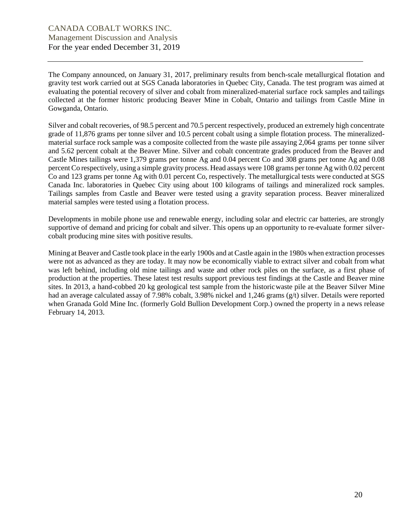The Company announced, on January 31, 2017, preliminary results from bench-scale metallurgical flotation and gravity test work carried out at SGS Canada laboratories in Quebec City, Canada. The test program was aimed at evaluating the potential recovery of silver and cobalt from mineralized-material surface rock samples and tailings collected at the former historic producing Beaver Mine in Cobalt, Ontario and tailings from Castle Mine in Gowganda, Ontario.

Silver and cobalt recoveries, of 98.5 percent and 70.5 percent respectively, produced an extremely high concentrate grade of 11,876 grams per tonne silver and 10.5 percent cobalt using a simple flotation process. The mineralizedmaterial surface rock sample was a composite collected from the waste pile assaying 2,064 grams per tonne silver and 5.62 percent cobalt at the Beaver Mine. Silver and cobalt concentrate grades produced from the Beaver and Castle Mines tailings were 1,379 grams per tonne Ag and 0.04 percent Co and 308 grams per tonne Ag and 0.08 percent Co respectively, using a simple gravity process. Head assays were 108 grams per tonne Ag with 0.02 percent Co and 123 grams per tonne Ag with 0.01 percent Co, respectively. The metallurgical tests were conducted at SGS Canada Inc. laboratories in Quebec City using about 100 kilograms of tailings and mineralized rock samples. Tailings samples from Castle and Beaver were tested using a gravity separation process. Beaver mineralized material samples were tested using a flotation process.

Developments in mobile phone use and renewable energy, including solar and electric car batteries, are strongly supportive of demand and pricing for cobalt and silver. This opens up an opportunity to re-evaluate former silvercobalt producing mine sites with positive results.

Mining at Beaver and Castle took place in the early 1900s and at Castle again in the 1980s when extraction processes were not as advanced as they are today. It may now be economically viable to extract silver and cobalt from what was left behind, including old mine tailings and waste and other rock piles on the surface, as a first phase of production at the properties. These latest test results support previous test findings at the Castle and Beaver mine sites. In 2013, a hand-cobbed 20 kg geological test sample from the historicwaste pile at the Beaver Silver Mine had an average calculated assay of 7.98% cobalt, 3.98% nickel and 1,246 grams (g/t) silver. Details were reported when Granada Gold Mine Inc. (formerly Gold Bullion Development Corp.) owned the property in a news release February 14, 2013.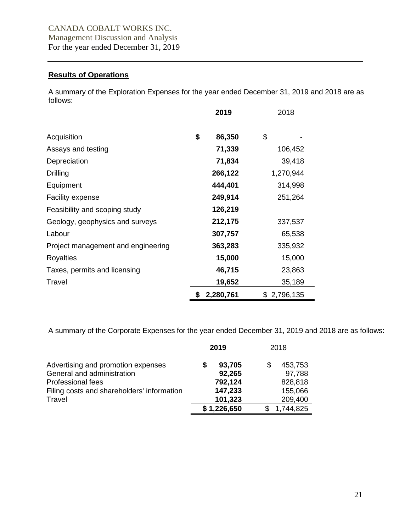# **Results of Operations**

A summary of the Exploration Expenses for the year ended December 31, 2019 and 2018 are as follows:

|                                    | 2019 |           | 2018        |  |
|------------------------------------|------|-----------|-------------|--|
| Acquisition                        | \$   | 86,350    | \$          |  |
| Assays and testing                 |      | 71,339    | 106,452     |  |
| Depreciation                       |      | 71,834    | 39,418      |  |
| <b>Drilling</b>                    |      | 266,122   | 1,270,944   |  |
| Equipment                          |      | 444,401   | 314,998     |  |
| <b>Facility expense</b>            |      | 249,914   | 251,264     |  |
| Feasibility and scoping study      |      | 126,219   |             |  |
| Geology, geophysics and surveys    |      | 212,175   | 337,537     |  |
| Labour                             |      | 307,757   | 65,538      |  |
| Project management and engineering |      | 363,283   | 335,932     |  |
| Royalties                          |      | 15,000    | 15,000      |  |
| Taxes, permits and licensing       |      | 46,715    | 23,863      |  |
| Travel                             |      | 19,652    | 35,189      |  |
|                                    | \$   | 2,280,761 | \$2,796,135 |  |

A summary of the Corporate Expenses for the year ended December 31, 2019 and 2018 are as follows:

|                                                                  |    | 2019             |   | 2018              |  |
|------------------------------------------------------------------|----|------------------|---|-------------------|--|
| Advertising and promotion expenses<br>General and administration | \$ | 93,705<br>92,265 | S | 453,753<br>97,788 |  |
| Professional fees                                                |    | 792,124          |   | 828,818           |  |
| Filing costs and shareholders' information                       |    | 147,233          |   | 155,066           |  |
| Travel                                                           |    | 101,323          |   | 209,400           |  |
|                                                                  |    | \$1,226,650      |   | 1,744,825         |  |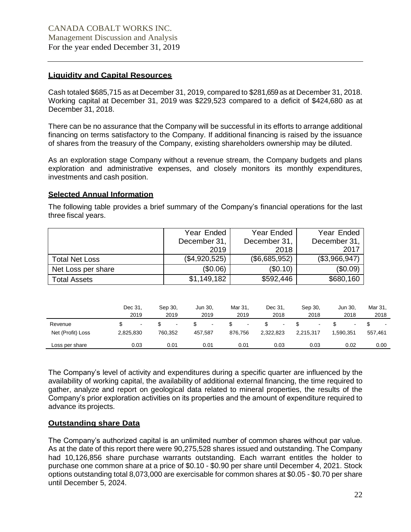# **Liquidity and Capital Resources**

Cash totaled \$685,715 as at December 31, 2019, compared to \$281,659as at December 31, 2018. Working capital at December 31, 2019 was \$229,523 compared to a deficit of \$424,680 as at December 31, 2018.

There can be no assurance that the Company will be successful in its efforts to arrange additional financing on terms satisfactory to the Company. If additional financing is raised by the issuance of shares from the treasury of the Company, existing shareholders ownership may be diluted.

As an exploration stage Company without a revenue stream, the Company budgets and plans exploration and administrative expenses, and closely monitors its monthly expenditures, investments and cash position.

## **Selected Annual Information**

The following table provides a brief summary of the Company's financial operations for the last three fiscal years.

|                       | Year Ended    | <b>Year Ended</b> | Year Ended    |  |
|-----------------------|---------------|-------------------|---------------|--|
|                       | December 31,  | December 31,      | December 31,  |  |
|                       | 2019          | 2018              | 2017          |  |
| <b>Total Net Loss</b> | (\$4,920,525) | (\$6,685,952)     | (\$3,966,947) |  |
| Net Loss per share    | (\$0.06)      | (\$0.10)          | (\$0.09)      |  |
| <b>Total Assets</b>   | \$1,149,182   | \$592,446         | \$680,160     |  |

|                              | Dec 31,<br>2019                       | Sep 30.<br>2019 | Jun 30.<br>2019   | Mar 31.<br>2019   | Dec 31,<br>2018 | Sep 30.<br>2018 | Jun 30.<br>2018 | Mar 31.<br>2018 |
|------------------------------|---------------------------------------|-----------------|-------------------|-------------------|-----------------|-----------------|-----------------|-----------------|
| Revenue<br>Net (Profit) Loss | $\overline{\phantom{a}}$<br>2,825,830 | 760.352         | $\sim$<br>457.587 | $\sim$<br>876.756 | -<br>2.322.823  | 2.215.317       | 1.590.351       | 557.461         |
| Loss per share               | 0.03                                  | 0.01            | 0.01              | 0.01              | 0.03            | 0.03            | 0.02            | 0.00            |

The Company's level of activity and expenditures during a specific quarter are influenced by the availability of working capital, the availability of additional external financing, the time required to gather, analyze and report on geological data related to mineral properties, the results of the Company's prior exploration activities on its properties and the amount of expenditure required to advance its projects.

# **Outstanding share Data**

The Company's authorized capital is an unlimited number of common shares without par value. As at the date of this report there were 90,275,528 shares issued and outstanding. The Company had 10,126,856 share purchase warrants outstanding. Each warrant entitles the holder to purchase one common share at a price of \$0.10 - \$0.90 per share until December 4, 2021. Stock options outstanding total 8,073,000 are exercisable for common shares at \$0.05 - \$0.70 per share until December 5, 2024.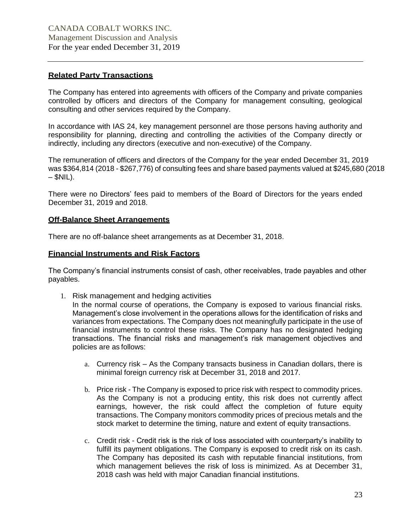# **Related Party Transactions**

The Company has entered into agreements with officers of the Company and private companies controlled by officers and directors of the Company for management consulting, geological consulting and other services required by the Company.

In accordance with IAS 24, key management personnel are those persons having authority and responsibility for planning, directing and controlling the activities of the Company directly or indirectly, including any directors (executive and non-executive) of the Company.

The remuneration of officers and directors of the Company for the year ended December 31, 2019 was \$364,814 (2018 - \$267,776) of consulting fees and share based payments valued at \$245,680 (2018  $-$  \$NIL).

There were no Directors' fees paid to members of the Board of Directors for the years ended December 31, 2019 and 2018.

## **Off-Balance Sheet Arrangements**

There are no off-balance sheet arrangements as at December 31, 2018.

## **Financial Instruments and Risk Factors**

The Company's financial instruments consist of cash, other receivables, trade payables and other payables.

- 1. Risk management and hedging activities In the normal course of operations, the Company is exposed to various financial risks. Management's close involvement in the operations allows for the identification of risks and variances from expectations. The Company does not meaningfully participate in the use of financial instruments to control these risks. The Company has no designated hedging transactions. The financial risks and management's risk management objectives and policies are as follows:
	- a. Currency risk As the Company transacts business in Canadian dollars, there is minimal foreign currency risk at December 31, 2018 and 2017.
	- b. Price risk The Company is exposed to price risk with respect to commodity prices. As the Company is not a producing entity, this risk does not currently affect earnings, however, the risk could affect the completion of future equity transactions. The Company monitors commodity prices of precious metals and the stock market to determine the timing, nature and extent of equity transactions.
	- c. Credit risk Credit risk is the risk of loss associated with counterparty's inability to fulfill its payment obligations. The Company is exposed to credit risk on its cash. The Company has deposited its cash with reputable financial institutions, from which management believes the risk of loss is minimized. As at December 31, 2018 cash was held with major Canadian financial institutions.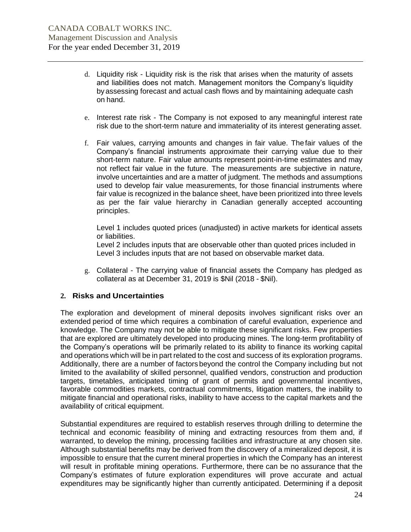- d. Liquidity risk Liquidity risk is the risk that arises when the maturity of assets and liabilities does not match. Management monitors the Company's liquidity by assessing forecast and actual cash flows and by maintaining adequate cash on hand.
- e. Interest rate risk The Company is not exposed to any meaningful interest rate risk due to the short-term nature and immateriality of its interest generating asset.
- f. Fair values, carrying amounts and changes in fair value. Thefair values of the Company's financial instruments approximate their carrying value due to their short-term nature. Fair value amounts represent point-in-time estimates and may not reflect fair value in the future. The measurements are subjective in nature, involve uncertainties and are a matter of judgment. The methods and assumptions used to develop fair value measurements, for those financial instruments where fair value is recognized in the balance sheet, have been prioritized into three levels as per the fair value hierarchy in Canadian generally accepted accounting principles.

Level 1 includes quoted prices (unadjusted) in active markets for identical assets or liabilities.

Level 2 includes inputs that are observable other than quoted prices included in Level 3 includes inputs that are not based on observable market data.

g. Collateral - The carrying value of financial assets the Company has pledged as collateral as at December 31, 2019 is \$Nil (2018 - \$Nil).

# **2. Risks and Uncertainties**

The exploration and development of mineral deposits involves significant risks over an extended period of time which requires a combination of careful evaluation, experience and knowledge. The Company may not be able to mitigate these significant risks. Few properties that are explored are ultimately developed into producing mines. The long-term profitability of the Company's operations will be primarily related to its ability to finance its working capital and operations which will be in part related to the cost and success of its exploration programs. Additionally, there are a number of factors beyond the control the Company including but not limited to the availability of skilled personnel, qualified vendors, construction and production targets, timetables, anticipated timing of grant of permits and governmental incentives, favorable commodities markets, contractual commitments, litigation matters, the inability to mitigate financial and operational risks, inability to have access to the capital markets and the availability of critical equipment.

Substantial expenditures are required to establish reserves through drilling to determine the technical and economic feasibility of mining and extracting resources from them and, if warranted, to develop the mining, processing facilities and infrastructure at any chosen site. Although substantial benefits may be derived from the discovery of a mineralized deposit, it is impossible to ensure that the current mineral properties in which the Company has an interest will result in profitable mining operations. Furthermore, there can be no assurance that the Company's estimates of future exploration expenditures will prove accurate and actual expenditures may be significantly higher than currently anticipated. Determining if a deposit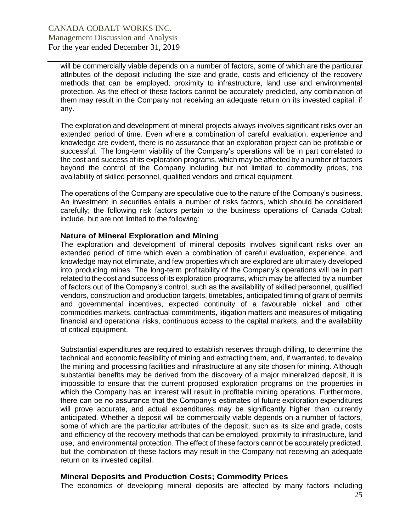will be commercially viable depends on a number of factors, some of which are the particular attributes of the deposit including the size and grade, costs and efficiency of the recovery methods that can be employed, proximity to infrastructure, land use and environmental protection. As the effect of these factors cannot be accurately predicted, any combination of them may result in the Company not receiving an adequate return on its invested capital, if any.

The exploration and development of mineral projects always involves significant risks over an extended period of time. Even where a combination of careful evaluation, experience and knowledge are evident, there is no assurance that an exploration project can be profitable or successful. The long-term viability of the Company's operations will be in part correlated to the cost and success of its exploration programs, which may be affected by a number of factors beyond the control of the Company including but not limited to commodity prices, the availability of skilled personnel, qualified vendors and critical equipment.

The operations of the Company are speculative due to the nature of the Company's business. An investment in securities entails a number of risks factors, which should be considered carefully; the following risk factors pertain to the business operations of Canada Cobalt include, but are not limited to the following:

#### **Nature of Mineral Exploration and Mining**

The exploration and development of mineral deposits involves significant risks over an extended period of time which even a combination of careful evaluation, experience, and knowledge may not eliminate, and few properties which are explored are ultimately developed into producing mines. The long-term profitability of the Company's operations will be in part related to the cost and success of its exploration programs, which may be affected by a number of factors out of the Company's control, such as the availability of skilled personnel, qualified vendors, construction and production targets, timetables, anticipated timing of grant of permits and governmental incentives, expected continuity of a favourable nickel and other commodities markets, contractual commitments, litigation matters and measures of mitigating financial and operational risks, continuous access to the capital markets, and the availability of critical equipment.

Substantial expenditures are required to establish reserves through drilling, to determine the technical and economic feasibility of mining and extracting them, and, if warranted, to develop the mining and processing facilities and infrastructure at any site chosen for mining. Although substantial benefits may be derived from the discovery of a major mineralized deposit, it is impossible to ensure that the current proposed exploration programs on the properties in which the Company has an interest will result in profitable mining operations. Furthermore, there can be no assurance that the Company's estimates of future exploration expenditures will prove accurate, and actual expenditures may be significantly higher than currently anticipated. Whether a deposit will be commercially viable depends on a number of factors, some of which are the particular attributes of the deposit, such as its size and grade, costs and efficiency of the recovery methods that can be employed, proximity to infrastructure, land use, and environmental protection. The effect of these factors cannot be accurately predicted, but the combination of these factors may result in the Company not receiving an adequate return on its invested capital.

#### **Mineral Deposits and Production Costs; Commodity Prices**

The economics of developing mineral deposits are affected by many factors including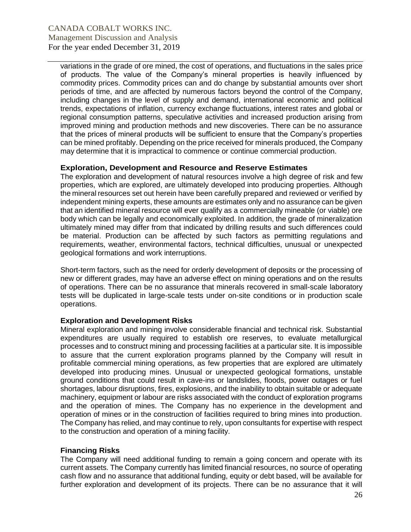variations in the grade of ore mined, the cost of operations, and fluctuations in the sales price of products. The value of the Company's mineral properties is heavily influenced by commodity prices. Commodity prices can and do change by substantial amounts over short periods of time, and are affected by numerous factors beyond the control of the Company, including changes in the level of supply and demand, international economic and political trends, expectations of inflation, currency exchange fluctuations, interest rates and global or regional consumption patterns, speculative activities and increased production arising from improved mining and production methods and new discoveries. There can be no assurance that the prices of mineral products will be sufficient to ensure that the Company's properties can be mined profitably. Depending on the price received for minerals produced, the Company may determine that it is impractical to commence or continue commercial production.

# **Exploration, Development and Resource and Reserve Estimates**

The exploration and development of natural resources involve a high degree of risk and few properties, which are explored, are ultimately developed into producing properties. Although the mineral resources set out herein have been carefully prepared and reviewed or verified by independent mining experts, these amounts are estimates only and no assurance can be given that an identified mineral resource will ever qualify as a commercially mineable (or viable) ore body which can be legally and economically exploited. In addition, the grade of mineralization ultimately mined may differ from that indicated by drilling results and such differences could be material. Production can be affected by such factors as permitting regulations and requirements, weather, environmental factors, technical difficulties, unusual or unexpected geological formations and work interruptions.

Short-term factors, such as the need for orderly development of deposits or the processing of new or different grades, may have an adverse effect on mining operations and on the results of operations. There can be no assurance that minerals recovered in small-scale laboratory tests will be duplicated in large-scale tests under on-site conditions or in production scale operations.

# **Exploration and Development Risks**

Mineral exploration and mining involve considerable financial and technical risk. Substantial expenditures are usually required to establish ore reserves, to evaluate metallurgical processes and to construct mining and processing facilities at a particular site. It is impossible to assure that the current exploration programs planned by the Company will result in profitable commercial mining operations, as few properties that are explored are ultimately developed into producing mines. Unusual or unexpected geological formations, unstable ground conditions that could result in cave-ins or landslides, floods, power outages or fuel shortages, labour disruptions, fires, explosions, and the inability to obtain suitable or adequate machinery, equipment or labour are risks associated with the conduct of exploration programs and the operation of mines. The Company has no experience in the development and operation of mines or in the construction of facilities required to bring mines into production. The Company has relied, and may continue to rely, upon consultants for expertise with respect to the construction and operation of a mining facility.

# **Financing Risks**

The Company will need additional funding to remain a going concern and operate with its current assets. The Company currently has limited financial resources, no source of operating cash flow and no assurance that additional funding, equity or debt based, will be available for further exploration and development of its projects. There can be no assurance that it will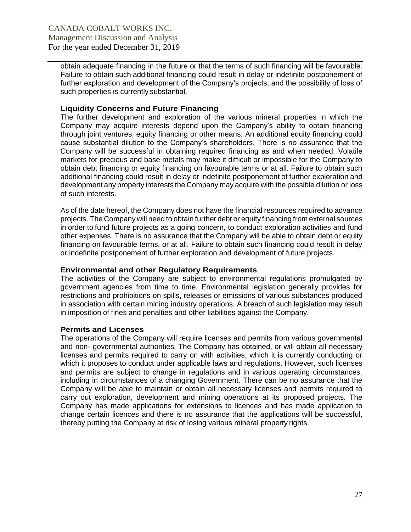obtain adequate financing in the future or that the terms of such financing will be favourable. Failure to obtain such additional financing could result in delay or indefinite postponement of further exploration and development of the Company's projects, and the possibility of loss of such properties is currently substantial.

# **Liquidity Concerns and Future Financing**

The further development and exploration of the various mineral properties in which the Company may acquire interests depend upon the Company's ability to obtain financing through joint ventures, equity financing or other means. An additional equity financing could cause substantial dilution to the Company's shareholders. There is no assurance that the Company will be successful in obtaining required financing as and when needed. Volatile markets for precious and base metals may make it difficult or impossible for the Company to obtain debt financing or equity financing on favourable terms or at all. Failure to obtain such additional financing could result in delay or indefinite postponement of further exploration and development any property interests the Company may acquire with the possible dilution or loss of such interests.

As of the date hereof, the Company does not have the financial resources required to advance projects. The Company will need to obtain further debt or equity financing from external sources in order to fund future projects as a going concern, to conduct exploration activities and fund other expenses. There is no assurance that the Company will be able to obtain debt or equity financing on favourable terms, or at all. Failure to obtain such financing could result in delay or indefinite postponement of further exploration and development of future projects.

# **Environmental and other Regulatory Requirements**

The activities of the Company are subject to environmental regulations promulgated by government agencies from time to time. Environmental legislation generally provides for restrictions and prohibitions on spills, releases or emissions of various substances produced in association with certain mining industry operations. A breach of such legislation may result in imposition of fines and penalties and other liabilities against the Company.

# **Permits and Licenses**

The operations of the Company will require licenses and permits from various governmental and non- governmental authorities. The Company has obtained, or will obtain all necessary licenses and permits required to carry on with activities, which it is currently conducting or which it proposes to conduct under applicable laws and regulations. However, such licenses and permits are subject to change in regulations and in various operating circumstances, including in circumstances of a changing Government. There can be no assurance that the Company will be able to maintain or obtain all necessary licenses and permits required to carry out exploration, development and mining operations at its proposed projects. The Company has made applications for extensions to licences and has made application to change certain licences and there is no assurance that the applications will be successful, thereby putting the Company at risk of losing various mineral property rights.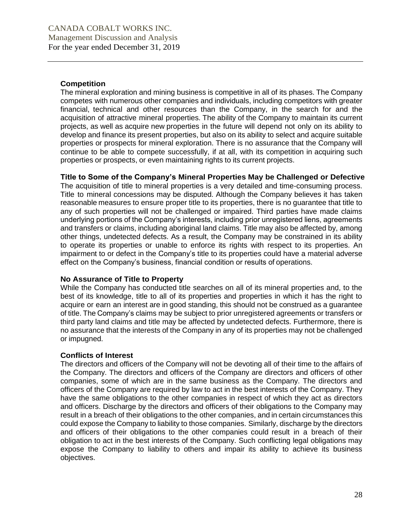# **Competition**

The mineral exploration and mining business is competitive in all of its phases. The Company competes with numerous other companies and individuals, including competitors with greater financial, technical and other resources than the Company, in the search for and the acquisition of attractive mineral properties. The ability of the Company to maintain its current projects, as well as acquire new properties in the future will depend not only on its ability to develop and finance its present properties, but also on its ability to select and acquire suitable properties or prospects for mineral exploration. There is no assurance that the Company will continue to be able to compete successfully, if at all, with its competition in acquiring such properties or prospects, or even maintaining rights to its current projects.

## **Title to Some of the Company's Mineral Properties May be Challenged or Defective**

The acquisition of title to mineral properties is a very detailed and time-consuming process. Title to mineral concessions may be disputed. Although the Company believes it has taken reasonable measures to ensure proper title to its properties, there is no guarantee that title to any of such properties will not be challenged or impaired. Third parties have made claims underlying portions of the Company's interests, including prior unregistered liens, agreements and transfers or claims, including aboriginal land claims. Title may also be affected by, among other things, undetected defects. As a result, the Company may be constrained in its ability to operate its properties or unable to enforce its rights with respect to its properties. An impairment to or defect in the Company's title to its properties could have a material adverse effect on the Company's business, financial condition or results of operations.

# **No Assurance of Title to Property**

While the Company has conducted title searches on all of its mineral properties and, to the best of its knowledge, title to all of its properties and properties in which it has the right to acquire or earn an interest are in good standing, this should not be construed as a guarantee of title. The Company's claims may be subject to prior unregistered agreements or transfers or third party land claims and title may be affected by undetected defects. Furthermore, there is no assurance that the interests of the Company in any of its properties may not be challenged or impugned.

#### **Conflicts of Interest**

The directors and officers of the Company will not be devoting all of their time to the affairs of the Company. The directors and officers of the Company are directors and officers of other companies, some of which are in the same business as the Company. The directors and officers of the Company are required by law to act in the best interests of the Company. They have the same obligations to the other companies in respect of which they act as directors and officers. Discharge by the directors and officers of their obligations to the Company may result in a breach of their obligations to the other companies, and in certain circumstances this could expose the Company to liability to those companies. Similarly, discharge by the directors and officers of their obligations to the other companies could result in a breach of their obligation to act in the best interests of the Company. Such conflicting legal obligations may expose the Company to liability to others and impair its ability to achieve its business objectives.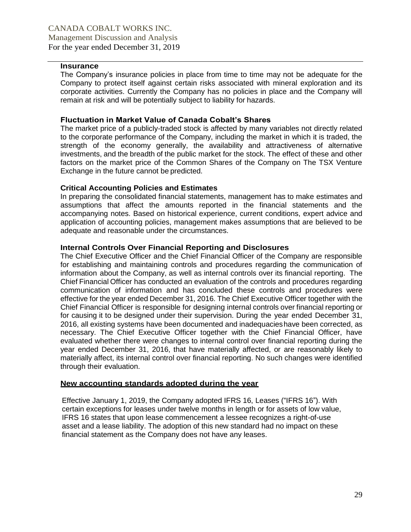# **Insurance**

The Company's insurance policies in place from time to time may not be adequate for the Company to protect itself against certain risks associated with mineral exploration and its corporate activities. Currently the Company has no policies in place and the Company will remain at risk and will be potentially subject to liability for hazards.

## **Fluctuation in Market Value of Canada Cobalt's Shares**

The market price of a publicly-traded stock is affected by many variables not directly related to the corporate performance of the Company, including the market in which it is traded, the strength of the economy generally, the availability and attractiveness of alternative investments, and the breadth of the public market for the stock. The effect of these and other factors on the market price of the Common Shares of the Company on The TSX Venture Exchange in the future cannot be predicted.

## **Critical Accounting Policies and Estimates**

In preparing the consolidated financial statements, management has to make estimates and assumptions that affect the amounts reported in the financial statements and the accompanying notes. Based on historical experience, current conditions, expert advice and application of accounting policies, management makes assumptions that are believed to be adequate and reasonable under the circumstances.

# **Internal Controls Over Financial Reporting and Disclosures**

The Chief Executive Officer and the Chief Financial Officer of the Company are responsible for establishing and maintaining controls and procedures regarding the communication of information about the Company, as well as internal controls over its financial reporting. The Chief Financial Officer has conducted an evaluation of the controls and procedures regarding communication of information and has concluded these controls and procedures were effective for the year ended December 31, 2016. The Chief Executive Officer together with the Chief Financial Officer is responsible for designing internal controls over financial reporting or for causing it to be designed under their supervision. During the year ended December 31, 2016, all existing systems have been documented and inadequacieshave been corrected, as necessary. The Chief Executive Officer together with the Chief Financial Officer, have evaluated whether there were changes to internal control over financial reporting during the year ended December 31, 2016, that have materially affected, or are reasonably likely to materially affect, its internal control over financial reporting. No such changes were identified through their evaluation.

#### **New accounting standards adopted during the year**

Effective January 1, 2019, the Company adopted IFRS 16, Leases ("IFRS 16"). With certain exceptions for leases under twelve months in length or for assets of low value, IFRS 16 states that upon lease commencement a lessee recognizes a right-of-use asset and a lease liability. The adoption of this new standard had no impact on these financial statement as the Company does not have any leases.